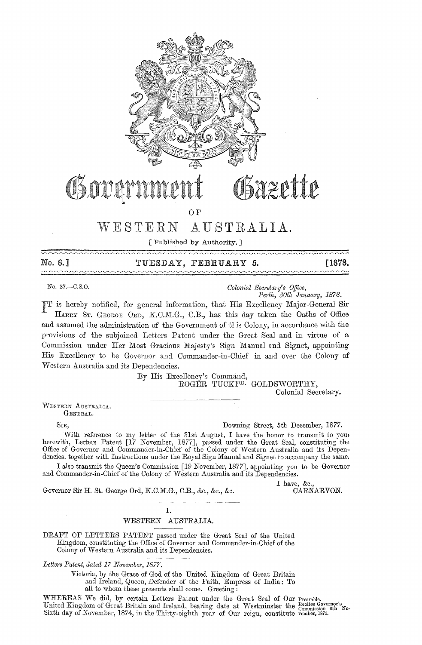

# WESTERN AUSTRALIA.

[Published by Authority. ]

| No. 6.1 | TUESDAY, FEBRUARY 5. | <b>F1878.</b>                                                                                                                                                                                                                  |
|---------|----------------------|--------------------------------------------------------------------------------------------------------------------------------------------------------------------------------------------------------------------------------|
|         |                      | 17/07/17/22/2012 12:00:00 12:00:00 12:00:00 12:00:00 12:00:00 12:00:00 12:00:00 12:00:00 12:00:00 12:00:00 12:00:00 12:00:00 12:00:00 12:00:00 12:00:00 12:00:00 12:00:00 12:00:00 12:00:00 12:00:00 12:00:00 12:00:00 12:00:0 |

No. 27.—C.S.O. *Colonial Secretary's Office, Development Oolonial Secretary's Office, Perth, 30th January, 1878.* 

**PP** is hereby notified, for general information, that His Excellency Major-General Sir HARRY ST. GEORGE ORD, K.C.M.G., C.B., has this day taken the Oaths of Office and assumed the administration of the Government of this Colony, in accordance with the provisions of the subjoined Letters Patent under the Great Seal and in virtue of a Commission under Her Most Gracious Majesty's Sign Manual and Signet, appointing His Excellency to be Governor and Commander-in-Chief in and over the Colony of Western Australia and its Dependencies.

> By His Excellency's Commanq, ROGER TUCKF<sup>D.</sup> GOLDSWORTHY, Colonial Secretary.

WESTERN AUSTRALIA. GENERAL.

SIR, Downing Street, 5th December, 1877.

With reference to my letter of the 31st August, I have the honor to transmit to you, herewith, Letters Patent [17 November, 1877], passed under the Great Seal, constituting the Office of Governor and Commander-in-Chief of the Colony of 'Western Australia and its Dependencies, together with Instructions under the Royal Sign Manual and Signet to accompany the same.

I also transmit the Queen's Commission [19 November, 1877J, appointing you to be Governor and Commander-in-Chief of the Colony of Western Australia and its Dependencies.

Governor Sir H. St. George Ord, K.C.M.G., C.B., &c., &c., &c.

I have, &c.,<br>CARNARVON.

#### 1. WESTERN AUSTRALIA.

DRAFT OF LETTERS PATENT passed under the Great Seal of the United Kingdom, constituting the Office of Governor and Commander-in-Chief of the Colony of Western Australia and its Dependencies.

Letters Patent, dated 17 November, 1877.

Victoria, by the Grace of God of the United Kingdom of Great Britain and Ireland, Queen, Defender of the Faith, Empress of India: To all to whom these presents shall come. Greeting:

WHEREAS We did, by certain Letters Patent under the Great Seal of Our Preamble. United Kingdom of Great Britain and Ireland, bearing date at Westminster the  $_{\rm Commission}^{\rm Co}$  6th No. Sixth day of November, 1874, in the Thirty-eighth year of Our reign, constitute vember, 1874.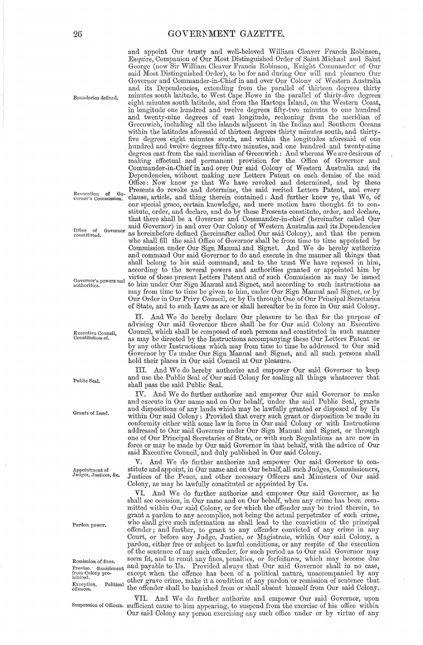and appoint Our trusty and well-beloved William Cleaver Francis Robinson, Esquire, Companion of Our Most Distinguished Order of Saint Michael and Saint George (now Sir William Cleaver Francis Robinson, Knight Commander of Our said Most Distinguished Order), to be for and during Our will and pleasure Our Governor and Commander-in-Chief in and over Our Colony of Western Australia and its Dependencies, extending from the parallel of thirteen degrees thirty Boundaries defined. minutes south latitude, to 'West Cape Howe in the parallel of thirty-fiye degrees eight minutes south latitude, and from the Hartogs Island, on the Western Coast, in longitude one hundred and twelve degrees fifty-two minutes to one hundred and twenty -nine degrees of east longitude, reckoning from the meridian of Greenwich, including all the islands adjacent in the Indian and Southern Oceans within the latitudes aforesaid of thirteen degrees thirty minutes south, and thirtyfive degrees eight minutes south, and within the longitudes aforesaid of one hundred and twelve degrees fifty-two minutes, and one hundred and twenty-nine degrees east from the said meridian of Greenwich: And whereas We are desirous of making effectual and permanent provision for the Office of Governor and Commander-in-Chief in and over Our said Colony of Western Australia and its Dependencies, without making new Letters Patent on each demise of the said Office: Now know ye that We have revoked and determined, and by these Revocation of Go- Presents do revoke and determine, the said recited Letters Patent, and every<br>vernor's Commission. clause, article, and thing therein contained: And further know ye, that We, of clause, article, and thing therein contained: And further know ye, that We, of our special grace, certain knowledge, and mere motion have thought fit to constitute, order, and declare, and do by these Presents constitute, order, and declare, that there shall be a Governor and Commander-in-chief (hereinafter called Qur said Governor) in and over Our Colony of Western Australia and its Dependencies Office of Governor said Governor) in and over Our Colony of Western Australia and that the person constituted. who shall fill the said Office of Governor shall be from time to time appointed by Commission under Our Sign Manual and Signet. And We do hereby authorize and command Our said Governor to do and execute in due manner all things that shall belong to his said command, and to the trust We have reposed in him, according to the several powers and authorities granted or appointed him by Governor's powers and virtue of these present Letters Patent and of such Commission as may be, issued Governor's powers and the but of shock present Letters I attend and of such Commission as may be issued authorities. may from time to time be given to him, under Our Sign Manual and Signet, or by Our Order in Our Privy Council, or by Us through One of Our Principal Secretaries of State, and to such Laws as are or shall hereafter be in force in Our said Colony.

> And We do hereby declare Our pleasure to be that for the purpose of advising Our said Governor there shall be for Our said Colony an Executive Council, which shall be composed of such persons and constituted in such manner as may be directed by the Instructions accompanying these Our Letters Patent or by any other Instructions which may from time to time be addressed to Our said Governor by Us under Our Sign Manual and Signet, and all such persons shall hold their places in Our said Council at Our pleasure.

> Ill. And We do hereby authorize and empower Our said Governor to keep and use the Public Seal of Our said Colony for sealing all things whatsoever that shall pass the said Public Seal.

> IV. And We do further authorize and empower Our said Governor to make and execute in Our name and on Our behalf, under the said Public Seal, grants and dispositions of any lands which may be lawfully granted or disposed of by Us within Our said Colony: Provided that every such grant or disposition be made in conformity either with some law in force in Our said Colony or with Instructions addressed to Our said Governor under Our Sign Manual and Signet, or through one of Our Principal Secretaries of State, or with such Regulations as are now in force or may be made by Our said Governor in that behalf, with the advice of Our said Executive Council, and duly published in Our said Colony.

And We do further authorize and empower Our said Governor to con-Appointment of stitute and appoint, in Our name and on Our behalf, all such Judges, Commissioners, Justices, &c. Justices of the Peace and other necessary Officers and Ministers of Our said Justices of the Peace, and other necessary Officers and Ministers of Our said Colony, as may be lawfully constituted or appointed by Us.

And We do further authorize and empower Our said Governor, as he shall see occasion, in Our name and on Our behalf, when any crime has been committed within Our said Colony, or for which the offender may be tried therein, to grant a pardon to any accomplice, not being the actual perpetrator of such crime, who shall give such information as shall lead to the conviction of the principal offender; and further, to grant to any offender convicted of any crime in any Court, or before any Judge, Justice, or Magistrate, within Our said Colony, a pardon, either free or subject to lawful conditions, or any respite of the execution pardon, either free or subject to lawful conditions, or any respite of the execution of the sentence of any such offender, for such period as to Our said Governor may Remission of fines. seem fit, and to remit any fines, penalties, or forfeitures, which may become due Froviso. Banishment and payable to Us. Provided always that Our said Governor shall in no case,<br>from Colony pro-<br>hibited. Delitical payable when the offence has been of a political nature, unaccompanied by any<br>hibited. Del hibited. Exception. Political other grave crime, make it a condition of any pardon or remission of sentence that offences. Political the offender shall be banished from or shall absent himself from Our said Colony.

VII. And We do further authorize and empower Our said Governor, upon Suspension of Officers. sufficient cause to him appearing, to suspend from the exercise of his office within Our said Colony any person exercising any such office under or by virtue of any

**Executive Council,**  Constitution of.

Public Seal.

Grants of Land.

Pardon power.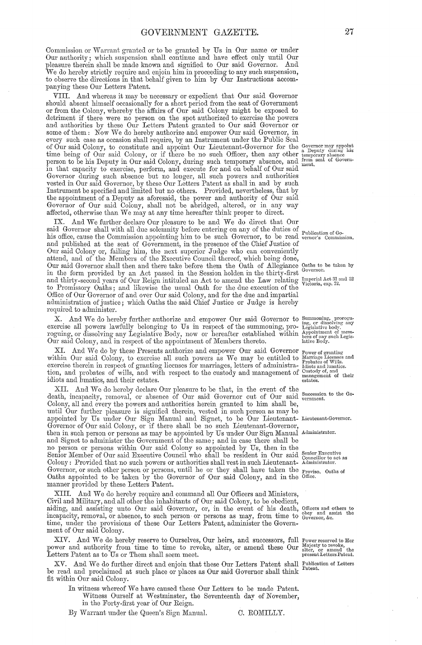Commission or Warrant granted or to be granted by Us in Our name or under Our authority; which suspension shall continue and have effect only until Our pleasure therein shall be made known and signified to Our said Governor. And We do hereby strictly require and enjoin him in proceeding to any such suspension, to observe the directions in that behalf given to him by Our Instructions accompanying these Our Letters Patent.

VIII. And whereas it may be necessary or expedient that Our said Governor should absent himself occasionally for a short period from the seat of Government or from the Colony, whereby the affairs of Our said Colony might be exposed to detriment if there were no person on the spot authorized to exercise the powers and authorities by these Our Letters Patent granted to Our said Governor or some of them: Now We do hereby authorize and empower Our said Governor, in every such case as occasion shall require, by an Instrument under the Public Seal of Our said Colony, to constitute and appoint Our Lieutenant-Governor for the a Deputy during his<br>time being of Our said Colony, or if there be no such Officer, then any other temporary absence<br>person to be his Deputy in O in that capacity to exercise, perform, and execute for and on behalf of Our said Governor during such absence but no longer, all such powers and authorities vested in Our said Governor, by these Our Letters Patent as shall in and by such Instrument be specified and limited but no others. Provided, nevertheless, that by the appointment of a Deputy as aforesaid, the power and authority of Our said Governor of Our said Colony, shall not be abridged, altered, or in any way affected, otherwise than We may at any time hereafter think proper to direct.

And We further declare Our pleasure to be and We do direct that Our said Governor shall with all due solemnity before entering on any of the duties of and Note that we are all the solution of Government on any or the duties of Publication of Government of Commission appointing him to be such Governor, to be read verticity commission. and published at the seat of Government, in the presence of the Chief Justice of Our said Colony or, failing him, the next superior Judge who can conveniently attend, and of the Members of the Executive Council thereof, which being done, Our said Governor shall then and there take before them the Oath of Allegiance Oaths to be taken by<br>Our said Governor shall then and there take before them the Oath of Allegiance Oaths to be taken by in the form provided by an Act passed in the Session holden in the thirty-first and thirty-second years of Our Reign intituled an Act to amend the Law relating Imperial Act 31 and 32 to Promissory Oaths; and likewise the usual Oath for the due execution of the Office of Our Governor of and over Our said Colony, and for the due and impartial administration of justice; which Oaths the said Chief Justice or Judge is hereby required to administer.

X. And We do hereby further authorize and empower Our said Governor to Summoning, prorogu-<br>exercise all powers lawfully belonging to Us in respect of the summoning, pro- Legislative body.<br>roguing, or dissolving any Legisl

Our said Colony, and in respect of the appointment of moment Care and Governor Power of granting  $XI$ . And We do by these Presents authorize and empower Our said Governor Power of granting within Our said Colony, to exerc

XII. And We do hereby declare Our pleasure to be that, in the event of the death, incapacity, removal, or absence of Our said Governor out of Our said vernment. Colony, all and every the powers and authorities herein granted to him shall be, until Our further pleasure is signified therein, vested in such person as may be appointed by Us under Our Sign Manual and Signet, to be Our Lieutenant-Lieutenant-Governor.<br>Governor of Our said Colony, or if there shall be no such Lieutenant-Governor, then in such person or persons as may be appointed by Us under Our Sign Manual Administrator. and Signet to administer the Government of the same; and in case there shall be no person or persons within Our said Colony so appointed by Us, then in the Senior Executive<br>Senior Member of Our said Executive Council who shall be resident in Our said Councillor to act as<br>Colony: Provided that no such Governor, or such other person or persons, until he or they shall have taken the proviso. Oaths of<br>Oaths appointed to be taken by the Governor of Our said Colony, and in the Office.<br>manner provided by these Letters Patent.

XIII. And We do hereby require and command all Our Officers and Ministers, Civil and Military, and all other the inhabitants of Our said Colony, to be obedient, aiding, and assisting unto Our said Governor, or, in the event of his death, Officers and others to incapacity, removal, or absence, to such person or persons as may, from time to Governor, &c. ment of Our said Colony.

XIV. And We do hereby reserve to Ourselves, Our heirs, and successors, full Power reserved to Her power and authority from time to time to revoke, alter, or amend these Our Majesty to revoke, Letters Patent as to Us or Them shall seem meet. Letters Patent as to Us or Them shall seem meet.

XV. And We do further direct and enjoin that these Our Letters Patent shall Publication of Letters be read and proclaimed at such place or places as Our said Governor shall think Patent. fit within Our said Colony.

- In witness whereof We have caused these Our Letters to be made Patent. Witness Ourself at Westminster, the Seventeenth day of November, in the Forty-first year of Our Reign.
- By Warrant under the Queen's Sign Manual.

C. ROMILLY.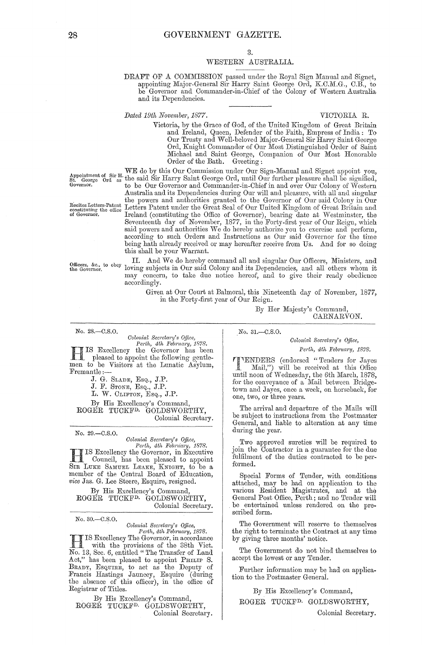### 3.

#### WESTERN AUSTRALIA.

DRAFT OF A COMMISSION passed under the Royal Sign Manual and Signet, appointing Major-General Sir Harry Saint George Ord, K.C.M.G., C.B., to be Governor and Commander-in-Chief of the Colony of Western Australia and its Dependencies.

*Dated 19th November, 1877.* VICTORIA R.

Victoria, by the Grace of God, of the United Kingdom of Great Britain and Ireland, Queen, Defender of the Faith, Empress of India : To Our Trusty and Well-beloved Major-General Sir Harry Saint George Ord, Knight Commander of Our Most Distinguished Order of Saint Michael and Saint George, Companion of Our Most Honorable<br>Order of the Bath. Greeting: Order of the Bath.

WE do by this Our Commission under Our Sign-Manual and Signet appoint you, Appointment of Sir H. WEI GO by this Our Commussion under Our Sign-Mandal and Signet appoint you,<br>St. George Ord, as the said Sir Harry Saint George Ord, until Our further pleasure shall be signified,<br>Governor, to be Our Governor and Commander-in-Chief in and over Our Colony of Western Australia and its Dependencies during Our will and pleasure, with all and singular the powers and authorities granted to the Governor of Our said Colony in Our<br>constituting the office Letters Patent under the Great Seal of Our United Kingdom of Great Britain and<br>of Governor. Ireland (constituting the Off Letters Patent under the Great Seal of Our United Kingdom of Great Britain and of Governor.<sup>11</sup> Ireland (constituting the Office of Governor), bearing date at Westminster, the Seventeenth day of November, 1877, in the Forty-first year of Our Reign, which said powers and authorities We do hereby authorize you to exercise and perform, according to such Orders and Instructions as Our said Governor for the time being hath already received or may hereafter receive from Us. And for so doing this shall be your Warrant.

II. And We do hereby command all and singular Our Officers, Ministers, and Officers, &c., to obey loving subjects in Our said Colony and its Dependencies, and all others whom it may concern, to take due notice hereof, and to give their ready obedience concern, to take due notice hereof, and to give their ready obedience accordingly.

> Given at Our Court at Balmoral, this Nineteenth day of November, 1877, in the Forty-first year of Our Reign.

No. 28.-C.S.O.

*Colonial Secretary's Office,* 

*Perth, 4th February, 1878.*<br> **HIS** Excellency the Governor has been<br>
pleased to appoint the following gentle-<br> **HISOCOPY ANDIA** pleased to appoint the following gentle- men to be Visitors at the Lunatic Asylum, Fremantle :-

J. G. SLADE, ESQ., J.P.

J. F. STONE, ESQ., J.P.

L. W. CLIFTON, EsQ., J.P.

By His Excellency's Command, ROGER TUCKFD. GOLDSWORTHY, Colonial Secretary.

No. 29,-0.S.0.

*Colonial Secretary's Office, Perth, 4th February, 1878.* 

IS Excellency the Governor, in Executive r Council, has been pleased to appoint SIR LUKE SAMUEL LEAKE, KNIGHT, to be a member of the Central Board of Education, *vice* Jas. G. Lee Steere, Esquire, resigned.

By His Excellency's Command, ROGER TUCKF<sup>D.</sup> GOLDSWORTHY, Colonial Secretary.

No.30.-0.S.0.

*Colonial Secretary's Office,* 

Perth, 4th February, 1878. IS Excellency The Governor, in accordance<br>with the provisions of the 38th Vict. No. 13, Sec. 6, entitled" The Transfer of Land Act," has been pleased to appoint PHILIP S. BRADY, ESQUIRE, to act as the Deputy of Francis Hastings Jauncey, Esquire (during the absence of this officer), in the office of Registrar of Titles.

By His Excellency's Command, ROGER TUCKFD. GOLDSWORTHY, Colonial Secretary. No. 31.-C.S.O.

*Colonictl Seaeta?'y's Ojjice,*  Perth, 4th February, 1878.

CARNARVON.

1"ENDERS (endorseel "Tenders for Jayes \_ Mail,") will be receivecl at this Office until noon of Wednesday, the 6th March, 1878, for the conveyance of a Mail between Bridgetown and Jayes, once a week, on horseback, for one, two, or three years.

By Her Majesty's Command,

The arrival and departure of the Mails will be subject to instructions from the Postmaster General, and liable to altemtion at any time during the year.

Two approved sureties will be required to join the Contractor in a guarantee for the due fulfilment of the duties contracted to be performed.

Special Forms of Tender, with conditions attached, may be had on application to the various Resident Magistrates, and at the General Post Office, Perth; and no Tender will be entertained unless rendered on the prescribed form.

The Government will reserve to themselves the right to terminate the Contract at any time by giving three months' notice.

The Government do not bind themselves to accept the lowest or any Tender.

Further information may be had on application to the Postmaster Geneml.

By His Excellency's Command,

ROGER TUCKFD. GOLDSWORTHY,

Colonial Secretary.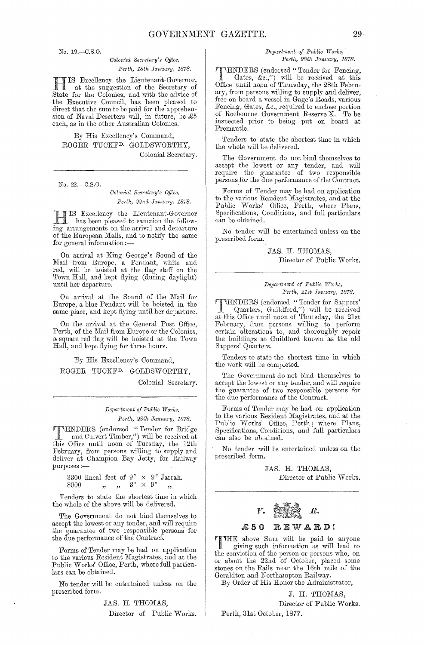No. 19.-C.S.O.

#### *Colonial Secretary's Office, Perth, 18th January, 1878.*

IS Excellency the Lieutenant-Governor, at the suggestion of the Secretary of State for the Colonies, and with the advice of the Executive Council, has been pleased to direct that the sum to be paid for the apprehension of Naval Deserters will, in future, be  $\pounds 5$ each, as in the other Australian Colonies.

By His Excellency's Command, ROGER TUCKFD. GOLDSWORTHY, Colonial Secretary.

No. 22.-C.S.O.

*Colonial Secretary's Office,* Perth, 22nd January, 1878.

HIS Excellency the Lieutenant-Governor has been pleased to sanction the following arrangements on the arrival and departure of the European Mails, and to notify the same for general information :-

On arrival at King George's Sound of the Mail from Europe, a Pendant, white and red, will be hoisted at the flag staff on the Town Hall, and kept flying (during daylight) until her departure.

On arrival at the Sound of the Mail for Europe, a blue Pendant will be hoisted in the same place, and kept flying until her departure.

On the arrival at the General Post Office, Perth, of the Mail from Europe or the Colonies, a square red flag will be hoisted at the Town Hall, and kept flying for three hours.

*By* His Excellency's Command, ROGER TUCKFD. GOIJDSWORTHY,

Colonial Secretary.

*Depw)"tmcnt of Public lVOI'ks, Perth, 28th January, 1878.* 

TIENDERS (endorsed "Tender for Bridge")<br>
and Culvert Timber,") will be received at<br>
this Office until poop of Tuesday, the 19th this Office until noon of Tuesday, the 12th February, from persons willing to supply and deliver at Champion Bay Jetty, for Railway<br>purposes ;—

3300 lineal feet of  $9'' \times 9''$  Jarrah.<br>8000  $\qquad \qquad$   $\qquad \qquad$   $\qquad \qquad$   $\qquad \qquad$   $\qquad \qquad$   $\qquad \qquad$   $\qquad \qquad$   $\qquad \qquad$   $\qquad \qquad$   $\qquad \qquad$   $\qquad \qquad$ 

Tenders to state the shortest time in which the whole of the above will be delivered.

The Government do not bind themselves to accept the lowest or any tender, and will require the guarantee of two responsible persons for the due performance of the Contract.

Forms of Tender may be had on application to the various Resident Magistrates, and at the Public Works' Office, Perth, where full particulars can be obtained.

No tender will be entertained unless on the prescribed form.

> JAS. H. THOMAS, Director of Public Works.

#### $Department of Public Works,$ *Perth, 28th January, 1878.*

**TTENDERS** (endorsed "Tender for Fencing,<br>
Gates, &c.,") will be received at this<br>
Office until poor of Thursday, the 98th Echm Office until noon of Thursday, the 28th February, from persons willing to supply and deliver, free on board a vessel in Gage's Roads, various Fencing, Gates, &c., required to enclose portion of Roebourne Government Reserve X. To be inspected prior to beiug put on board at Fremantle.

Tenders to state the shortest time in which the whole will be delivered.

The Government do not bind themselves to accept the lowest or any tender, and will require the guamntee of two responsible persons for the due performance of the Contract.

Forms of Tender may be had on application to the various Resident Magistmtes, and at the Public Works' Office, Perth, where Plans, Specifications, Conditions, and full particulars can be obtained.

No tender will be entertained unless on the prescribed form.

> JAS. H. THOMAS, Director of Public Works.

#### *Del'a,·t1nent of Ptlblic Works, Perth, 21st January, 1878.*

TENDERS (endorsed "Tender for Sappers' Quarters, Guildford,") will be received at this Office until noon of Thursday, the 21st February, from persons willing to perform certain altemtions to, and thoroughly repair the buildings at Guildford known as the old Sappers' Quarters.

Tenders to state the shortest time in which the work will be completed.

The Government do not bind themselves to accept the lowest or any tender, and will require the guarantee of two responsible persons for the due performance of the Contract.

Forms of Tender may be had on application to the various Resident Magistrates, and at the Public Works' Office, Perth; where Plans, Specifications, Conditions, and full particulars can also be obtained.

No tender will be entertained unless on the prescribed form.

> JAS. H. THOMAS, Director of Public Works.



#### £50 REWARD!

THE above Sum will be paid to anyone<br>giving such information as will load to giving such information as will lead to the conviction of the person or persons who, on or about the 22nd of October, placed some stones on the Rails near the 16th mile of the Geraldton and Northampton Railway.

By Order of His Honor the Administrator,

J. H. THOMAS,

Director of Public Works. Perth, 31st October, 1877.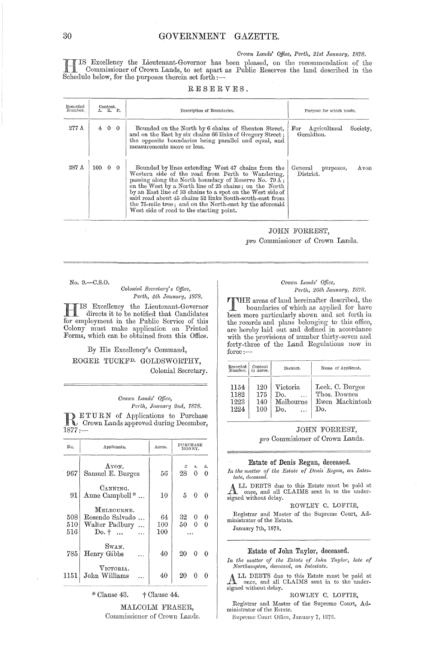#### Crown Lands' Office, Perth, 21st January, 1878.

IS Excellency the Lieutenant-Governor has been pleased, on the recommendation of the Commissioner of Crown Lands, to set apart as Public Reserves the land described in the Schedule below, for the purposes therein set forth :-

| RESERVES. |  |  |  |  |  |  |  |  |  |
|-----------|--|--|--|--|--|--|--|--|--|
|-----------|--|--|--|--|--|--|--|--|--|

| Recorded<br>Number. |                       | Content.<br>A. R. P. | Description of Boundaries.                                                                                                                                                                                                                                                                                                                                                                                                                                   | Purpose for which made.                 |          |
|---------------------|-----------------------|----------------------|--------------------------------------------------------------------------------------------------------------------------------------------------------------------------------------------------------------------------------------------------------------------------------------------------------------------------------------------------------------------------------------------------------------------------------------------------------------|-----------------------------------------|----------|
| $277$ $\Lambda$     |                       | 4 0 0                | Bounded on the North by 6 chains of Shenton Street.<br>and on the East by six chains 66 links of Gregory Street;<br>the opposite boundaries being parallel and equal, and<br>measurements more or less.                                                                                                                                                                                                                                                      | Agricultural<br>$\rm For$<br>Geraldton. | Society, |
| 287 A               | $100 \quad 0 \quad 0$ |                      | Bounded by lines extending West 47 chains from the<br>Western side of the road from Perth to Wandering,<br>passing along the North boundary of Reserve No. 79 A;<br>on the West by a North line of 25 chains; on the North<br>by an East line of 33 chains to a spot on the West side of<br>said road about 45 chains 52 links South-south-east from<br>the 75-mile tree; and on the North-east by the aforesaid<br>West side of road to the starting point. | General<br>purposes,<br>District.       | Avon     |

## JOHN FORREST,

pro Commissioner of Crown Lands.

No. 9.-C.S.O.

#### Colonial Secretary's Office, Perth, 4th January, 1878.

IS Excellency the Lieutenant-Governor directs it to be notified that Candidates for employment in the Public Service of this Colony must make application on Printed<br>Forms, which can be obtained from this Office.

#### By His Excellency's Command, ROGER TUCKF<sup>D.</sup> GOLDSWORTHY, Colonial Secretary.

#### Crown Lands' Office, Perth, January 2nd, 1878.

**DETURN** of Applications to Purchase<br>Crown Lands approved during December,  $1877: -$ 

| No.               | Applicants.                                                                     | Acres.               | PURCHASE<br>MONEY.              |
|-------------------|---------------------------------------------------------------------------------|----------------------|---------------------------------|
| 967               | Avon.<br>Samuel E. Burges                                                       | 56                   | £<br>d.<br>s.<br>28.<br>0<br>0  |
| 91                | CANNING.<br>Anne Campbell $*$                                                   | 10                   | $5 \quad 0$<br>$\Omega$         |
| 508<br>510<br>516 | MELBOURNE.<br>Rosendo Salvado<br>Walter Padbury<br>$Do.$ $\dagger$<br>$\ddotsc$ | 64<br>100<br>$100\,$ | 32.<br>0.<br>0<br>50.<br>0<br>0 |
| 785               | Swan.<br>Henry Gibbs                                                            | 40                   | 20<br>0                         |
| 1151              | VICTORIA.<br>John Williams                                                      | 40                   | 20<br>0                         |

#### \* Clause 43. + Clause 44.

MALCOLM FRASER,

Commissioner of Crown Lands.

#### Crown Lands' Office, Perth, 26th January, 1878.

**TTHE** areas of land hereinafter described, the boundaries of which as applied for have been more particularly shown and set forth in<br>the records and plans belonging to this office,<br>are hereby laid out and defined in accordance with the provisions of number thirty-seven and forty-three of the Land Regulations now in  $force:$ 

| Recorded<br>Number. | Content<br>in Acres. | District.         | Name of Applicant. |
|---------------------|----------------------|-------------------|--------------------|
| 1154                | 120                  | Victoria          | Lock. C. Burges    |
| 1182                | 175                  | $\mathcal{D}_{0}$ | Thos. Downes       |
| 1223                | 140                  | Melbourne         | Ewen Mackintosh    |
| 1224                | 100                  | Do.               | Do.                |

JOHN FORREST, pro Commisioner of Crown Lands.

#### Estate of Denis Regan, deceased.

In the matter of the Estate of Denis Regan, an Intestate, deceased.

ALL DEBTS due to this Estate must be paid at once, and all CLAIMS sent in to the under-<br>signed without delay.

#### ROWLEY C. LOFTIE,

Registrar and Master of the Supreme Court, Administrator of the Estate. January 7th, 1878.

Estate of John Taylor, deceased.

In the matter of the Estate of John Taylor, late of Northampton, deceased, an Intestate.

ALL DEBTS due to this Estate must be paid at once, and all CLAIMS sent in to the under-signed without delay.

#### ROWLEY C. LOFTIE,

Registrar and Master of the Supreme Court, Administrator of the Estate.

Supreme Court Office, January 7, 1878.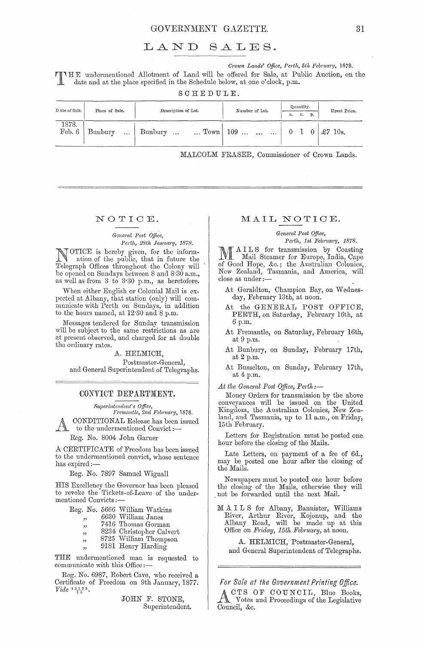#### GOVERNMENT GAZETTE. 31

## LAND SALES.

*Crown Lands' Office, Perth, 5th February, 1878.* 

II E undermentioned Allotment of Land will be offered for Sale, at Public Auction, on the date and at the place specified in the Schedule below, at one o'clock, p.m.

SCHEDULE.

| D ate of Sale.  | Place of Sale.    | Description of Lot.   | Number of Lot.                               | Quantity.<br>p.<br>r.<br>a.                    | Upset Price. |
|-----------------|-------------------|-----------------------|----------------------------------------------|------------------------------------------------|--------------|
| 1878.<br>Feb. 6 | Bunbury<br>$\sim$ | Bunbury<br>$\sim 100$ | $\ldots$ Town 109 $\ldots$ $\ldots$ $\ldots$ | $0 \quad 1 \quad 0 \mid \pounds 7 \quad 10$ s. |              |

MALCOLM FRASER, Commissioner of Crown Lands.

#### NOTIOE.

#### *Geneml Post Office, Perth, 28th Janncwy, 1878.*

NOTICE is hereby given, for the inform-<br>ation of the wall. ation of the public, that in futme the Telegraph Offices throughout the Colony will be opened on Sundays between 8 and 8.30 a.m., as well as from 3 to 3'30 p.m., as heretofore.

When either English or Colonial Mail is expected at Albany, that station (only) will communicate with Perth on Sundays, in addition to the hours named, at 12'30 and 8 p.m.

Messages tendered for Sunday transmission will be subject to the same restrictions as are at present observed, and charged for at double the ordinary rates.

A. HELMICH,

Postmaster -General, and General Superintendent of Telegraphs.

#### CONVICT DEPARTMENT.

*Superintendent's Office, Fremantle, 2nd February, 1878.*  CONDITIONAL Release has been issued

to the undermentioned Convict :-

Reg. No. 8004 John Gamer

A CERTIFICATE of Freedom has been issued to the undermentioned convict, whose sentence has expired :-

Reg. No. 7897 Samuel Wignall

HIS Excellency the Governor has been pleased to revoke the Tickets-of-Leave of the undermentioned Convicts :-

Reg. No. 5666 William Watkins

- 6630 William Janes
- رو<br>وو 7416 Thomas Gorman
- " 8234 Christopher Calvert
- "<br>.. "<br>.. 8725 William Thompson
- " 9181 Henry Harding

THE undermentioned man is requested to communicate with this Office:-

Reg. No. 6987, Robert Cave, who received a Certificate of Freedom on 9th January, 1877.  $Video \frac{13123}{14}.$ 

> JOHN F. STONE, Superintendent.

#### MAIL NOTIOE.

#### *Geneml Post Office,*

Perth, 1st February, 1878.

M AILS for transmission by Coasting<br>
Mail Steamer for Europe, India, Cape<br>
of Good Hope, *for* the Australian Colonias of Good Hope, &c.; the Australian Colonies, New Zealand, Tasmania, and America, will<br>close as under :—

- At Geraldton, Champion Bay, on Wednesday, February 13th, at noon.
- At the GENERAL POST OFFICE, PERTH, on Saturday, February 16th, at 6 pom.
- At Fremantle, on Saturday, February 16th, at 9 p.m.
- At Bunbury, on Sunday, February 17th, at 2 p.m.

At Busselton, on Sunday, February 17th, at 4 p.m.

At the General Post Office, Perth:-

Money Orders for transmission by the above conveyances will be issued on the United Kingdom, the Australian Colonies, New Zealand, and Tasmania, up to 11 a.m., on Friday, 15th February.

Letters for Registration must be posted one hour before the closing of the Mails.

Late Letters, on payment of a fee of 6d., may be posted one hour after the closing of the Mails.

Newspapers must be posted one hour before the closing of the Mails, otherwise they will not be forwarded until the next Mail.

M A I L S for Albany, Bannister, Williams River, Arthur River, Kojonup, and the Albany Road, will be made up at this Office on *Friday, 15th February*, at noon.

A. HELMICH, Postmaster-General, and General Superintendent of Telegraphs.

*For Safe at the Government Printing Office.*  ACTS OF COUNCIL, Blue Books, Votes and Proceedings of the Legislative Council, &c.